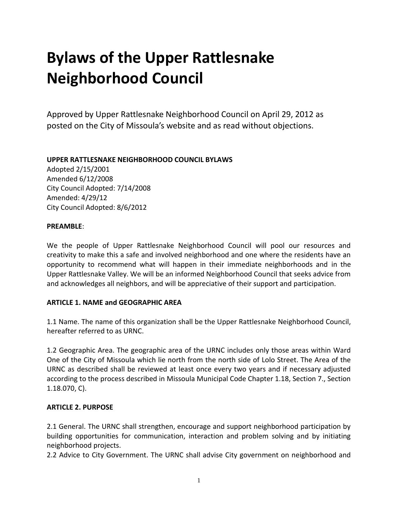# **Bylaws of the Upper Rattlesnake Neighborhood Council**

Approved by Upper Rattlesnake Neighborhood Council on April 29, 2012 as posted on the City of Missoula's website and as read without objections.

#### **UPPER RATTLESNAKE NEIGHBORHOOD COUNCIL BYLAWS**

Adopted 2/15/2001 Amended 6/12/2008 City Council Adopted: 7/14/2008 Amended: 4/29/12 City Council Adopted: 8/6/2012

#### **PREAMBLE**:

We the people of Upper Rattlesnake Neighborhood Council will pool our resources and creativity to make this a safe and involved neighborhood and one where the residents have an opportunity to recommend what will happen in their immediate neighborhoods and in the Upper Rattlesnake Valley. We will be an informed Neighborhood Council that seeks advice from and acknowledges all neighbors, and will be appreciative of their support and participation.

## **ARTICLE 1. NAME and GEOGRAPHIC AREA**

1.1 Name. The name of this organization shall be the Upper Rattlesnake Neighborhood Council, hereafter referred to as URNC.

1.2 Geographic Area. The geographic area of the URNC includes only those areas within Ward One of the City of Missoula which lie north from the north side of Lolo Street. The Area of the URNC as described shall be reviewed at least once every two years and if necessary adjusted according to the process described in Missoula Municipal Code Chapter 1.18, Section 7., Section 1.18.070, C).

## **ARTICLE 2. PURPOSE**

2.1 General. The URNC shall strengthen, encourage and support neighborhood participation by building opportunities for communication, interaction and problem solving and by initiating neighborhood projects.

2.2 Advice to City Government. The URNC shall advise City government on neighborhood and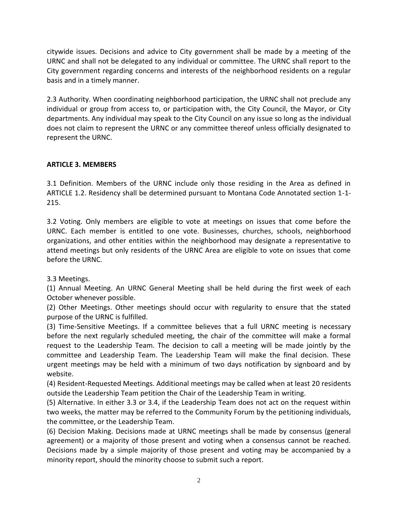citywide issues. Decisions and advice to City government shall be made by a meeting of the URNC and shall not be delegated to any individual or committee. The URNC shall report to the City government regarding concerns and interests of the neighborhood residents on a regular basis and in a timely manner.

2.3 Authority. When coordinating neighborhood participation, the URNC shall not preclude any individual or group from access to, or participation with, the City Council, the Mayor, or City departments. Any individual may speak to the City Council on any issue so long as the individual does not claim to represent the URNC or any committee thereof unless officially designated to represent the URNC.

# **ARTICLE 3. MEMBERS**

3.1 Definition. Members of the URNC include only those residing in the Area as defined in ARTICLE 1.2. Residency shall be determined pursuant to Montana Code Annotated section 1-1- 215.

3.2 Voting. Only members are eligible to vote at meetings on issues that come before the URNC. Each member is entitled to one vote. Businesses, churches, schools, neighborhood organizations, and other entities within the neighborhood may designate a representative to attend meetings but only residents of the URNC Area are eligible to vote on issues that come before the URNC.

3.3 Meetings.

(1) Annual Meeting. An URNC General Meeting shall be held during the first week of each October whenever possible.

(2) Other Meetings. Other meetings should occur with regularity to ensure that the stated purpose of the URNC is fulfilled.

(3) Time-Sensitive Meetings. If a committee believes that a full URNC meeting is necessary before the next regularly scheduled meeting, the chair of the committee will make a formal request to the Leadership Team. The decision to call a meeting will be made jointly by the committee and Leadership Team. The Leadership Team will make the final decision. These urgent meetings may be held with a minimum of two days notification by signboard and by website.

(4) Resident-Requested Meetings. Additional meetings may be called when at least 20 residents outside the Leadership Team petition the Chair of the Leadership Team in writing.

(5) Alternative. In either 3.3 or 3.4, if the Leadership Team does not act on the request within two weeks, the matter may be referred to the Community Forum by the petitioning individuals, the committee, or the Leadership Team.

(6) Decision Making. Decisions made at URNC meetings shall be made by consensus (general agreement) or a majority of those present and voting when a consensus cannot be reached. Decisions made by a simple majority of those present and voting may be accompanied by a minority report, should the minority choose to submit such a report.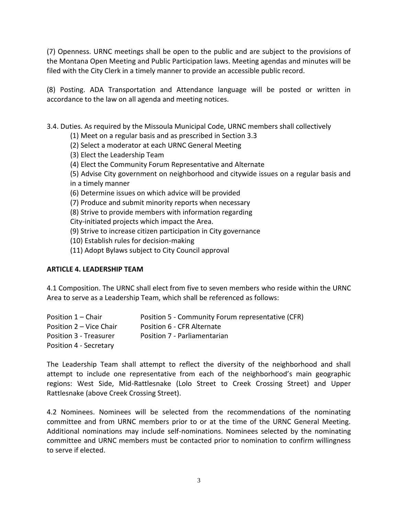(7) Openness. URNC meetings shall be open to the public and are subject to the provisions of the Montana Open Meeting and Public Participation laws. Meeting agendas and minutes will be filed with the City Clerk in a timely manner to provide an accessible public record.

(8) Posting. ADA Transportation and Attendance language will be posted or written in accordance to the law on all agenda and meeting notices.

3.4. Duties. As required by the Missoula Municipal Code, URNC members shall collectively

(1) Meet on a regular basis and as prescribed in Section 3.3

(2) Select a moderator at each URNC General Meeting

(3) Elect the Leadership Team

(4) Elect the Community Forum Representative and Alternate

(5) Advise City government on neighborhood and citywide issues on a regular basis and in a timely manner

(6) Determine issues on which advice will be provided

(7) Produce and submit minority reports when necessary

(8) Strive to provide members with information regarding

City-initiated projects which impact the Area.

(9) Strive to increase citizen participation in City governance

(10) Establish rules for decision-making

(11) Adopt Bylaws subject to City Council approval

## **ARTICLE 4. LEADERSHIP TEAM**

4.1 Composition. The URNC shall elect from five to seven members who reside within the URNC Area to serve as a Leadership Team, which shall be referenced as follows:

| Position 1 - Chair      | Position 5 - Community Forum representative (CFR) |
|-------------------------|---------------------------------------------------|
| Position 2 – Vice Chair | Position 6 - CFR Alternate                        |
| Position 3 - Treasurer  | Position 7 - Parliamentarian                      |
| Position 4 - Secretary  |                                                   |

The Leadership Team shall attempt to reflect the diversity of the neighborhood and shall attempt to include one representative from each of the neighborhood's main geographic regions: West Side, Mid-Rattlesnake (Lolo Street to Creek Crossing Street) and Upper Rattlesnake (above Creek Crossing Street).

4.2 Nominees. Nominees will be selected from the recommendations of the nominating committee and from URNC members prior to or at the time of the URNC General Meeting. Additional nominations may include self-nominations. Nominees selected by the nominating committee and URNC members must be contacted prior to nomination to confirm willingness to serve if elected.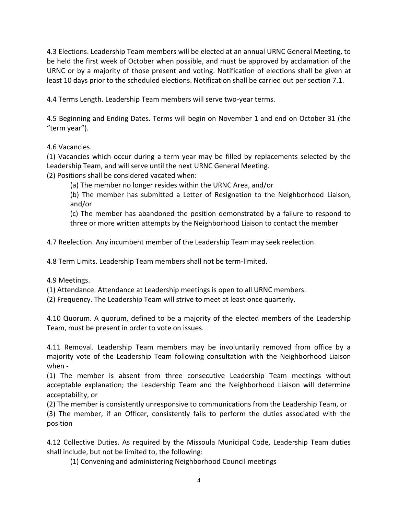4.3 Elections. Leadership Team members will be elected at an annual URNC General Meeting, to be held the first week of October when possible, and must be approved by acclamation of the URNC or by a majority of those present and voting. Notification of elections shall be given at least 10 days prior to the scheduled elections. Notification shall be carried out per section 7.1.

4.4 Terms Length. Leadership Team members will serve two-year terms.

4.5 Beginning and Ending Dates. Terms will begin on November 1 and end on October 31 (the "term year").

4.6 Vacancies.

(1) Vacancies which occur during a term year may be filled by replacements selected by the Leadership Team, and will serve until the next URNC General Meeting.

(2) Positions shall be considered vacated when:

(a) The member no longer resides within the URNC Area, and/or

(b) The member has submitted a Letter of Resignation to the Neighborhood Liaison, and/or

(c) The member has abandoned the position demonstrated by a failure to respond to three or more written attempts by the Neighborhood Liaison to contact the member

4.7 Reelection. Any incumbent member of the Leadership Team may seek reelection.

4.8 Term Limits. Leadership Team members shall not be term-limited.

4.9 Meetings.

(1) Attendance. Attendance at Leadership meetings is open to all URNC members.

(2) Frequency. The Leadership Team will strive to meet at least once quarterly.

4.10 Quorum. A quorum, defined to be a majority of the elected members of the Leadership Team, must be present in order to vote on issues.

4.11 Removal. Leadership Team members may be involuntarily removed from office by a majority vote of the Leadership Team following consultation with the Neighborhood Liaison when -

(1) The member is absent from three consecutive Leadership Team meetings without acceptable explanation; the Leadership Team and the Neighborhood Liaison will determine acceptability, or

(2) The member is consistently unresponsive to communications from the Leadership Team, or (3) The member, if an Officer, consistently fails to perform the duties associated with the position

4.12 Collective Duties. As required by the Missoula Municipal Code, Leadership Team duties shall include, but not be limited to, the following:

(1) Convening and administering Neighborhood Council meetings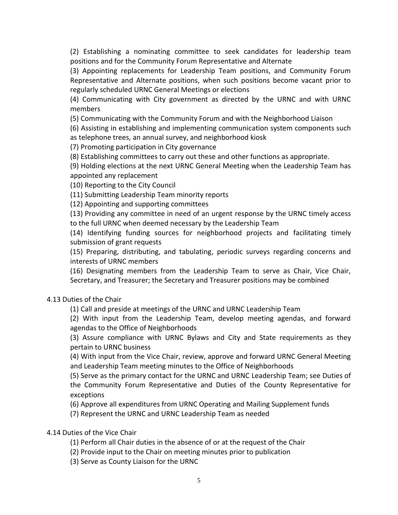(2) Establishing a nominating committee to seek candidates for leadership team positions and for the Community Forum Representative and Alternate

(3) Appointing replacements for Leadership Team positions, and Community Forum Representative and Alternate positions, when such positions become vacant prior to regularly scheduled URNC General Meetings or elections

(4) Communicating with City government as directed by the URNC and with URNC members

(5) Communicating with the Community Forum and with the Neighborhood Liaison

(6) Assisting in establishing and implementing communication system components such as telephone trees, an annual survey, and neighborhood kiosk

(7) Promoting participation in City governance

(8) Establishing committees to carry out these and other functions as appropriate.

(9) Holding elections at the next URNC General Meeting when the Leadership Team has appointed any replacement

(10) Reporting to the City Council

(11) Submitting Leadership Team minority reports

(12) Appointing and supporting committees

(13) Providing any committee in need of an urgent response by the URNC timely access to the full URNC when deemed necessary by the Leadership Team

(14) Identifying funding sources for neighborhood projects and facilitating timely submission of grant requests

(15) Preparing, distributing, and tabulating, periodic surveys regarding concerns and interests of URNC members

(16) Designating members from the Leadership Team to serve as Chair, Vice Chair, Secretary, and Treasurer; the Secretary and Treasurer positions may be combined

4.13 Duties of the Chair

(1) Call and preside at meetings of the URNC and URNC Leadership Team

(2) With input from the Leadership Team, develop meeting agendas, and forward agendas to the Office of Neighborhoods

(3) Assure compliance with URNC Bylaws and City and State requirements as they pertain to URNC business

(4) With input from the Vice Chair, review, approve and forward URNC General Meeting and Leadership Team meeting minutes to the Office of Neighborhoods

(5) Serve as the primary contact for the URNC and URNC Leadership Team; see Duties of the Community Forum Representative and Duties of the County Representative for exceptions

(6) Approve all expenditures from URNC Operating and Mailing Supplement funds

(7) Represent the URNC and URNC Leadership Team as needed

## 4.14 Duties of the Vice Chair

(1) Perform all Chair duties in the absence of or at the request of the Chair

(2) Provide input to the Chair on meeting minutes prior to publication

(3) Serve as County Liaison for the URNC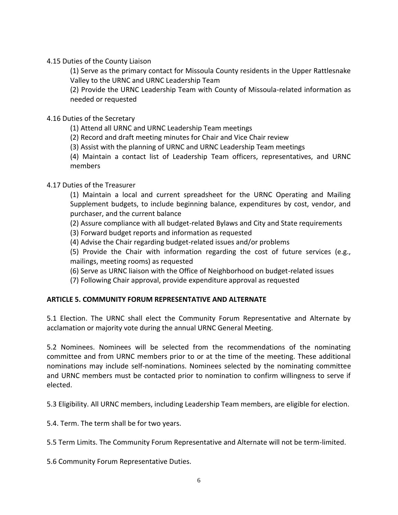4.15 Duties of the County Liaison

(1) Serve as the primary contact for Missoula County residents in the Upper Rattlesnake Valley to the URNC and URNC Leadership Team

(2) Provide the URNC Leadership Team with County of Missoula-related information as needed or requested

4.16 Duties of the Secretary

(1) Attend all URNC and URNC Leadership Team meetings

(2) Record and draft meeting minutes for Chair and Vice Chair review

(3) Assist with the planning of URNC and URNC Leadership Team meetings

(4) Maintain a contact list of Leadership Team officers, representatives, and URNC members

## 4.17 Duties of the Treasurer

(1) Maintain a local and current spreadsheet for the URNC Operating and Mailing Supplement budgets, to include beginning balance, expenditures by cost, vendor, and purchaser, and the current balance

(2) Assure compliance with all budget-related Bylaws and City and State requirements

(3) Forward budget reports and information as requested

(4) Advise the Chair regarding budget-related issues and/or problems

(5) Provide the Chair with information regarding the cost of future services (e.g., mailings, meeting rooms) as requested

(6) Serve as URNC liaison with the Office of Neighborhood on budget-related issues

(7) Following Chair approval, provide expenditure approval as requested

# **ARTICLE 5. COMMUNITY FORUM REPRESENTATIVE AND ALTERNATE**

5.1 Election. The URNC shall elect the Community Forum Representative and Alternate by acclamation or majority vote during the annual URNC General Meeting.

5.2 Nominees. Nominees will be selected from the recommendations of the nominating committee and from URNC members prior to or at the time of the meeting. These additional nominations may include self-nominations. Nominees selected by the nominating committee and URNC members must be contacted prior to nomination to confirm willingness to serve if elected.

5.3 Eligibility. All URNC members, including Leadership Team members, are eligible for election.

5.4. Term. The term shall be for two years.

5.5 Term Limits. The Community Forum Representative and Alternate will not be term-limited.

5.6 Community Forum Representative Duties.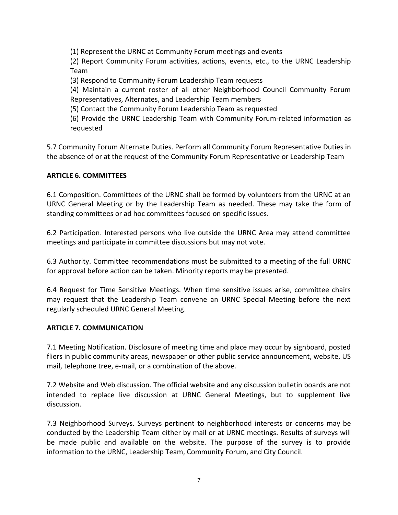(1) Represent the URNC at Community Forum meetings and events

(2) Report Community Forum activities, actions, events, etc., to the URNC Leadership Team

(3) Respond to Community Forum Leadership Team requests

(4) Maintain a current roster of all other Neighborhood Council Community Forum Representatives, Alternates, and Leadership Team members

(5) Contact the Community Forum Leadership Team as requested

(6) Provide the URNC Leadership Team with Community Forum-related information as requested

5.7 Community Forum Alternate Duties. Perform all Community Forum Representative Duties in the absence of or at the request of the Community Forum Representative or Leadership Team

## **ARTICLE 6. COMMITTEES**

6.1 Composition. Committees of the URNC shall be formed by volunteers from the URNC at an URNC General Meeting or by the Leadership Team as needed. These may take the form of standing committees or ad hoc committees focused on specific issues.

6.2 Participation. Interested persons who live outside the URNC Area may attend committee meetings and participate in committee discussions but may not vote.

6.3 Authority. Committee recommendations must be submitted to a meeting of the full URNC for approval before action can be taken. Minority reports may be presented.

6.4 Request for Time Sensitive Meetings. When time sensitive issues arise, committee chairs may request that the Leadership Team convene an URNC Special Meeting before the next regularly scheduled URNC General Meeting.

## **ARTICLE 7. COMMUNICATION**

7.1 Meeting Notification. Disclosure of meeting time and place may occur by signboard, posted fliers in public community areas, newspaper or other public service announcement, website, US mail, telephone tree, e-mail, or a combination of the above.

7.2 Website and Web discussion. The official website and any discussion bulletin boards are not intended to replace live discussion at URNC General Meetings, but to supplement live discussion.

7.3 Neighborhood Surveys. Surveys pertinent to neighborhood interests or concerns may be conducted by the Leadership Team either by mail or at URNC meetings. Results of surveys will be made public and available on the website. The purpose of the survey is to provide information to the URNC, Leadership Team, Community Forum, and City Council.